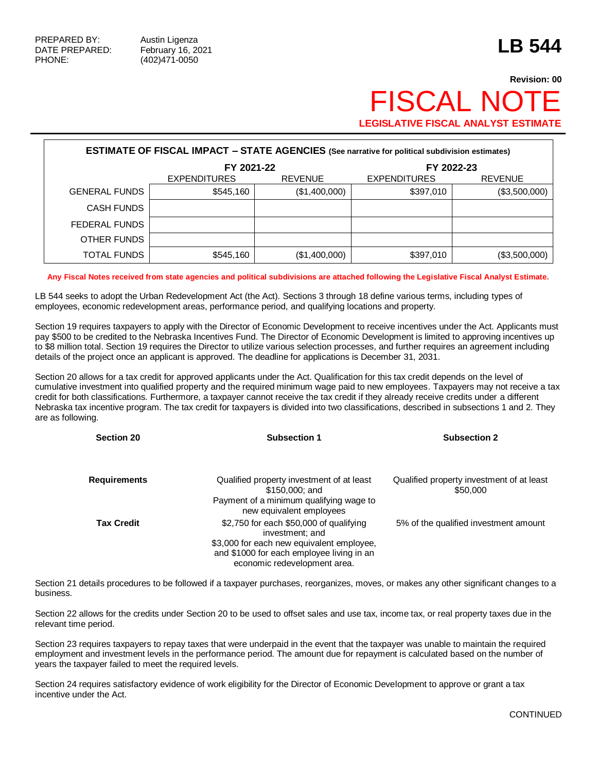# **Revision: 00 FISCAL NO LEGISLATIVE FISCAL ANALYST ESTIMATE**

| <b>ESTIMATE OF FISCAL IMPACT - STATE AGENCIES</b> (See narrative for political subdivision estimates) |                     |                |                     |                |  |  |
|-------------------------------------------------------------------------------------------------------|---------------------|----------------|---------------------|----------------|--|--|
|                                                                                                       | FY 2021-22          |                |                     | FY 2022-23     |  |  |
|                                                                                                       | <b>EXPENDITURES</b> | <b>REVENUE</b> | <b>EXPENDITURES</b> | <b>REVENUE</b> |  |  |
| <b>GENERAL FUNDS</b>                                                                                  | \$545,160           | (\$1,400,000)  | \$397,010           | (\$3,500,000)  |  |  |
| <b>CASH FUNDS</b>                                                                                     |                     |                |                     |                |  |  |
| FEDERAL FUNDS                                                                                         |                     |                |                     |                |  |  |
| OTHER FUNDS                                                                                           |                     |                |                     |                |  |  |
| TOTAL FUNDS                                                                                           | \$545,160           | (\$1,400,000)  | \$397,010           | (\$3,500,000)  |  |  |

**Any Fiscal Notes received from state agencies and political subdivisions are attached following the Legislative Fiscal Analyst Estimate.**

LB 544 seeks to adopt the Urban Redevelopment Act (the Act). Sections 3 through 18 define various terms, including types of employees, economic redevelopment areas, performance period, and qualifying locations and property.

Section 19 requires taxpayers to apply with the Director of Economic Development to receive incentives under the Act. Applicants must pay \$500 to be credited to the Nebraska Incentives Fund. The Director of Economic Development is limited to approving incentives up to \$8 million total. Section 19 requires the Director to utilize various selection processes, and further requires an agreement including details of the project once an applicant is approved. The deadline for applications is December 31, 2031.

Section 20 allows for a tax credit for approved applicants under the Act. Qualification for this tax credit depends on the level of cumulative investment into qualified property and the required minimum wage paid to new employees. Taxpayers may not receive a tax credit for both classifications. Furthermore, a taxpayer cannot receive the tax credit if they already receive credits under a different Nebraska tax incentive program. The tax credit for taxpayers is divided into two classifications, described in subsections 1 and 2. They are as following.

| <b>Section 20</b>   | <b>Subsection 1</b>                                                                                                                                                                  | <b>Subsection 2</b>                                   |
|---------------------|--------------------------------------------------------------------------------------------------------------------------------------------------------------------------------------|-------------------------------------------------------|
| <b>Requirements</b> | Qualified property investment of at least<br>\$150,000; and                                                                                                                          | Qualified property investment of at least<br>\$50,000 |
|                     | Payment of a minimum qualifying wage to<br>new equivalent employees                                                                                                                  |                                                       |
| <b>Tax Credit</b>   | \$2,750 for each \$50,000 of qualifying<br>investment; and<br>\$3,000 for each new equivalent employee,<br>and \$1000 for each employee living in an<br>economic redevelopment area. | 5% of the qualified investment amount                 |

Section 21 details procedures to be followed if a taxpayer purchases, reorganizes, moves, or makes any other significant changes to a business.

Section 22 allows for the credits under Section 20 to be used to offset sales and use tax, income tax, or real property taxes due in the relevant time period.

Section 23 requires taxpayers to repay taxes that were underpaid in the event that the taxpayer was unable to maintain the required employment and investment levels in the performance period. The amount due for repayment is calculated based on the number of years the taxpayer failed to meet the required levels.

Section 24 requires satisfactory evidence of work eligibility for the Director of Economic Development to approve or grant a tax incentive under the Act.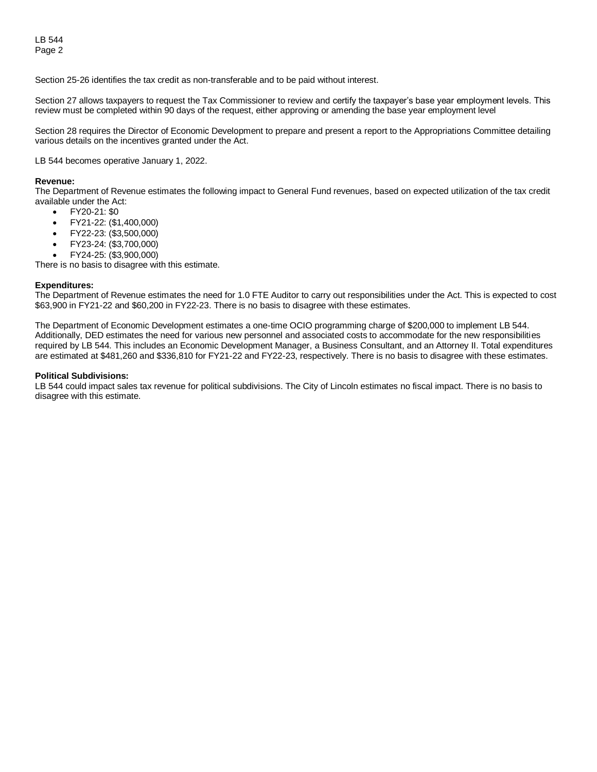Section 25-26 identifies the tax credit as non-transferable and to be paid without interest.

Section 27 allows taxpayers to request the Tax Commissioner to review and certify the taxpayer's base year employment levels. This review must be completed within 90 days of the request, either approving or amending the base year employment level

Section 28 requires the Director of Economic Development to prepare and present a report to the Appropriations Committee detailing various details on the incentives granted under the Act.

LB 544 becomes operative January 1, 2022.

#### **Revenue:**

The Department of Revenue estimates the following impact to General Fund revenues, based on expected utilization of the tax credit available under the Act:

- FY20-21: \$0
- FY21-22: (\$1,400,000)
- FY22-23: (\$3,500,000)
- FY23-24: (\$3,700,000)
- FY24-25: (\$3,900,000)

There is no basis to disagree with this estimate.

#### **Expenditures:**

The Department of Revenue estimates the need for 1.0 FTE Auditor to carry out responsibilities under the Act. This is expected to cost \$63,900 in FY21-22 and \$60,200 in FY22-23. There is no basis to disagree with these estimates.

The Department of Economic Development estimates a one-time OCIO programming charge of \$200,000 to implement LB 544. Additionally, DED estimates the need for various new personnel and associated costs to accommodate for the new responsibilities required by LB 544. This includes an Economic Development Manager, a Business Consultant, and an Attorney II. Total expenditures are estimated at \$481,260 and \$336,810 for FY21-22 and FY22-23, respectively. There is no basis to disagree with these estimates.

#### **Political Subdivisions:**

LB 544 could impact sales tax revenue for political subdivisions. The City of Lincoln estimates no fiscal impact. There is no basis to disagree with this estimate.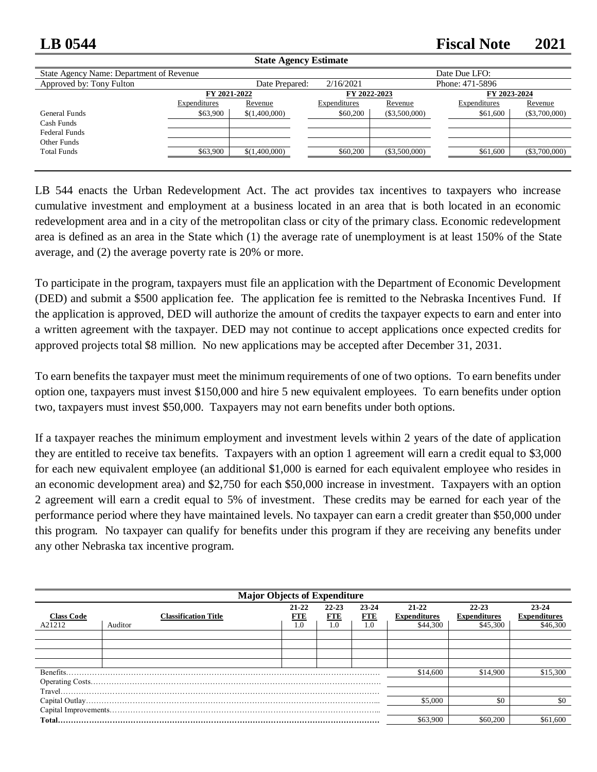## **LB 0544 Fiscal Note 2021**

| <b>State Agency Estimate</b>             |              |                |              |                 |                 |                 |
|------------------------------------------|--------------|----------------|--------------|-----------------|-----------------|-----------------|
| State Agency Name: Department of Revenue |              |                |              |                 | Date Due LFO:   |                 |
| Approved by: Tony Fulton                 |              | Date Prepared: | 2/16/2021    |                 | Phone: 471-5896 |                 |
|                                          | FY 2021-2022 |                | FY 2022-2023 |                 | FY 2023-2024    |                 |
|                                          | Expenditures | Revenue        | Expenditures | Revenue         | Expenditures    | Revenue         |
| General Funds                            | \$63,900     | \$(1,400,000)  | \$60,200     | $(\$3,500,000)$ | \$61,600        | $(\$3,700,000)$ |
| Cash Funds                               |              |                |              |                 |                 |                 |
| <b>Federal Funds</b>                     |              |                |              |                 |                 |                 |
| Other Funds                              |              |                |              |                 |                 |                 |
| <b>Total Funds</b>                       | \$63,900     | \$(1,400,000)  | \$60,200     | $(\$3,500,000)$ | \$61,600        | $(\$3,700,000)$ |
|                                          |              |                |              |                 |                 |                 |

LB 544 enacts the Urban Redevelopment Act. The act provides tax incentives to taxpayers who increase cumulative investment and employment at a business located in an area that is both located in an economic redevelopment area and in a city of the metropolitan class or city of the primary class. Economic redevelopment area is defined as an area in the State which (1) the average rate of unemployment is at least 150% of the State average, and (2) the average poverty rate is 20% or more.

To participate in the program, taxpayers must file an application with the Department of Economic Development (DED) and submit a \$500 application fee. The application fee is remitted to the Nebraska Incentives Fund. If the application is approved, DED will authorize the amount of credits the taxpayer expects to earn and enter into a written agreement with the taxpayer. DED may not continue to accept applications once expected credits for approved projects total \$8 million. No new applications may be accepted after December 31, 2031.

To earn benefits the taxpayer must meet the minimum requirements of one of two options. To earn benefits under option one, taxpayers must invest \$150,000 and hire 5 new equivalent employees. To earn benefits under option two, taxpayers must invest \$50,000. Taxpayers may not earn benefits under both options.

If a taxpayer reaches the minimum employment and investment levels within 2 years of the date of application they are entitled to receive tax benefits. Taxpayers with an option 1 agreement will earn a credit equal to \$3,000 for each new equivalent employee (an additional \$1,000 is earned for each equivalent employee who resides in an economic development area) and \$2,750 for each \$50,000 increase in investment. Taxpayers with an option 2 agreement will earn a credit equal to 5% of investment. These credits may be earned for each year of the performance period where they have maintained levels. No taxpayer can earn a credit greater than \$50,000 under this program. No taxpayer can qualify for benefits under this program if they are receiving any benefits under any other Nebraska tax incentive program.

|                   | <b>Major Objects of Expenditure</b> |              |                         |                         |                                  |                                  |                              |  |
|-------------------|-------------------------------------|--------------|-------------------------|-------------------------|----------------------------------|----------------------------------|------------------------------|--|
| <b>Class Code</b> | <b>Classification Title</b>         | 21-22<br>FTE | $22 - 23$<br><b>FTE</b> | $23 - 24$<br><b>FTE</b> | $21 - 22$<br><b>Expenditures</b> | $22 - 23$<br><b>Expenditures</b> | 23-24<br><b>Expenditures</b> |  |
| A21212            | Auditor                             | 1.0          | 1.0                     | 1.0                     | \$44,300                         | \$45,300                         | \$46,300                     |  |
|                   |                                     |              |                         |                         |                                  |                                  |                              |  |
|                   |                                     |              |                         |                         |                                  |                                  |                              |  |
|                   |                                     |              |                         |                         |                                  |                                  |                              |  |
|                   |                                     |              |                         |                         |                                  |                                  |                              |  |
|                   |                                     |              |                         |                         | \$14,600                         | \$14,900                         | \$15,300                     |  |
|                   |                                     |              |                         |                         |                                  |                                  |                              |  |
|                   |                                     |              |                         |                         |                                  |                                  |                              |  |
|                   |                                     |              |                         | \$5,000                 | \$0                              | \$0                              |                              |  |
|                   |                                     |              |                         |                         |                                  |                                  |                              |  |
|                   |                                     |              |                         |                         |                                  | \$60,200                         | \$61,600                     |  |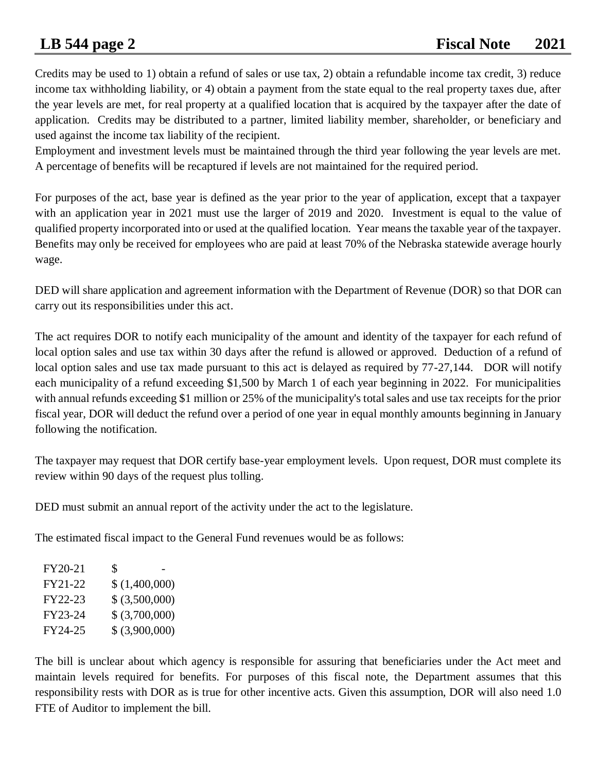Credits may be used to 1) obtain a refund of sales or use tax, 2) obtain a refundable income tax credit, 3) reduce income tax withholding liability, or 4) obtain a payment from the state equal to the real property taxes due, after the year levels are met, for real property at a qualified location that is acquired by the taxpayer after the date of application. Credits may be distributed to a partner, limited liability member, shareholder, or beneficiary and used against the income tax liability of the recipient.

Employment and investment levels must be maintained through the third year following the year levels are met. A percentage of benefits will be recaptured if levels are not maintained for the required period.

For purposes of the act, base year is defined as the year prior to the year of application, except that a taxpayer with an application year in 2021 must use the larger of 2019 and 2020. Investment is equal to the value of qualified property incorporated into or used at the qualified location. Year means the taxable year of the taxpayer. Benefits may only be received for employees who are paid at least 70% of the Nebraska statewide average hourly wage.

DED will share application and agreement information with the Department of Revenue (DOR) so that DOR can carry out its responsibilities under this act.

The act requires DOR to notify each municipality of the amount and identity of the taxpayer for each refund of local option sales and use tax within 30 days after the refund is allowed or approved. Deduction of a refund of local option sales and use tax made pursuant to this act is delayed as required by 77-27,144. DOR will notify each municipality of a refund exceeding \$1,500 by March 1 of each year beginning in 2022. For municipalities with annual refunds exceeding \$1 million or 25% of the municipality's total sales and use tax receipts for the prior fiscal year, DOR will deduct the refund over a period of one year in equal monthly amounts beginning in January following the notification.

The taxpayer may request that DOR certify base-year employment levels. Upon request, DOR must complete its review within 90 days of the request plus tolling.

DED must submit an annual report of the activity under the act to the legislature.

The estimated fiscal impact to the General Fund revenues would be as follows:

| FY20-21 | S              |  |
|---------|----------------|--|
| FY21-22 | \$(1,400,000)  |  |
| FY22-23 | \$ (3,500,000) |  |
| FY23-24 | \$ (3,700,000) |  |
| FY24-25 | \$ (3,900,000) |  |

The bill is unclear about which agency is responsible for assuring that beneficiaries under the Act meet and maintain levels required for benefits. For purposes of this fiscal note, the Department assumes that this responsibility rests with DOR as is true for other incentive acts. Given this assumption, DOR will also need 1.0 FTE of Auditor to implement the bill.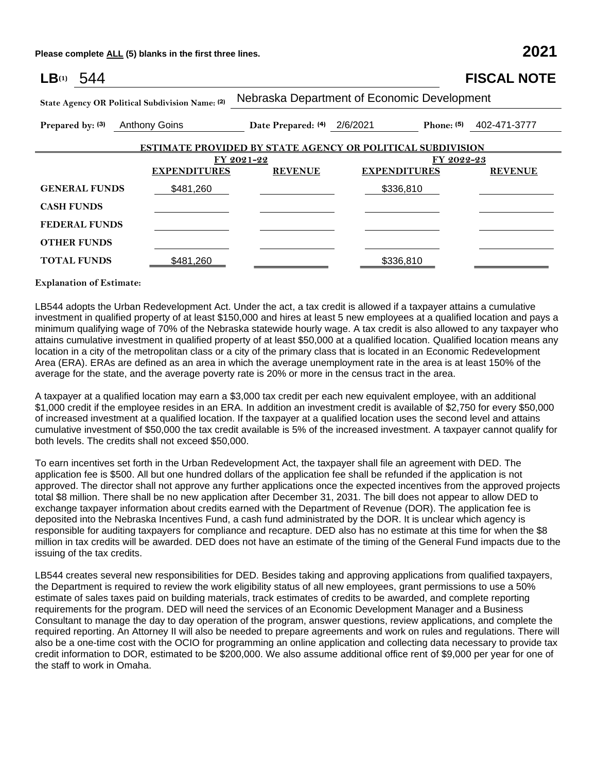**Please complete ALL (5) blanks in the first three lines. 2021**

| LB(1)<br>544         |                                                 |                                             |                                                                   | <b>FISCAL NOTE</b>      |
|----------------------|-------------------------------------------------|---------------------------------------------|-------------------------------------------------------------------|-------------------------|
|                      | State Agency OR Political Subdivision Name: (2) | Nebraska Department of Economic Development |                                                                   |                         |
| Prepared by: (3)     | <b>Anthony Goins</b>                            | Date Prepared: $(4)$ 2/6/2021               |                                                                   | Phone: (5) 402-471-3777 |
|                      |                                                 |                                             | <b>ESTIMATE PROVIDED BY STATE AGENCY OR POLITICAL SUBDIVISION</b> |                         |
|                      |                                                 | FY 2021-22                                  | FY 2022-23                                                        |                         |
|                      | <b>EXPENDITURES</b>                             | <b>REVENUE</b>                              | <b>EXPENDITURES</b>                                               | <b>REVENUE</b>          |
| <b>GENERAL FUNDS</b> | \$481,260                                       |                                             | \$336,810                                                         |                         |
| <b>CASH FUNDS</b>    |                                                 |                                             |                                                                   |                         |
| <b>FEDERAL FUNDS</b> |                                                 |                                             |                                                                   |                         |
| <b>OTHER FUNDS</b>   |                                                 |                                             |                                                                   |                         |
| <b>TOTAL FUNDS</b>   | \$481,260                                       |                                             | \$336,810                                                         |                         |

### **Explanation of Estimate:**

LB544 adopts the Urban Redevelopment Act. Under the act, a tax credit is allowed if a taxpayer attains a cumulative investment in qualified property of at least \$150,000 and hires at least 5 new employees at a qualified location and pays a minimum qualifying wage of 70% of the Nebraska statewide hourly wage. A tax credit is also allowed to any taxpayer who attains cumulative investment in qualified property of at least \$50,000 at a qualified location. Qualified location means any location in a city of the metropolitan class or a city of the primary class that is located in an Economic Redevelopment Area (ERA). ERAs are defined as an area in which the average unemployment rate in the area is at least 150% of the average for the state, and the average poverty rate is 20% or more in the census tract in the area.

A taxpayer at a qualified location may earn a \$3,000 tax credit per each new equivalent employee, with an additional \$1,000 credit if the employee resides in an ERA. In addition an investment credit is available of \$2,750 for every \$50,000 of increased investment at a qualified location. If the taxpayer at a qualified location uses the second level and attains cumulative investment of \$50,000 the tax credit available is 5% of the increased investment. A taxpayer cannot qualify for both levels. The credits shall not exceed \$50,000.

To earn incentives set forth in the Urban Redevelopment Act, the taxpayer shall file an agreement with DED. The application fee is \$500. All but one hundred dollars of the application fee shall be refunded if the application is not approved. The director shall not approve any further applications once the expected incentives from the approved projects total \$8 million. There shall be no new application after December 31, 2031. The bill does not appear to allow DED to exchange taxpayer information about credits earned with the Department of Revenue (DOR). The application fee is deposited into the Nebraska Incentives Fund, a cash fund administrated by the DOR. It is unclear which agency is responsible for auditing taxpayers for compliance and recapture. DED also has no estimate at this time for when the \$8 million in tax credits will be awarded. DED does not have an estimate of the timing of the General Fund impacts due to the issuing of the tax credits.

LB544 creates several new responsibilities for DED. Besides taking and approving applications from qualified taxpayers, the Department is required to review the work eligibility status of all new employees, grant permissions to use a 50% estimate of sales taxes paid on building materials, track estimates of credits to be awarded, and complete reporting requirements for the program. DED will need the services of an Economic Development Manager and a Business Consultant to manage the day to day operation of the program, answer questions, review applications, and complete the required reporting. An Attorney II will also be needed to prepare agreements and work on rules and regulations. There will also be a one-time cost with the OCIO for programming an online application and collecting data necessary to provide tax credit information to DOR, estimated to be \$200,000. We also assume additional office rent of \$9,000 per year for one of the staff to work in Omaha.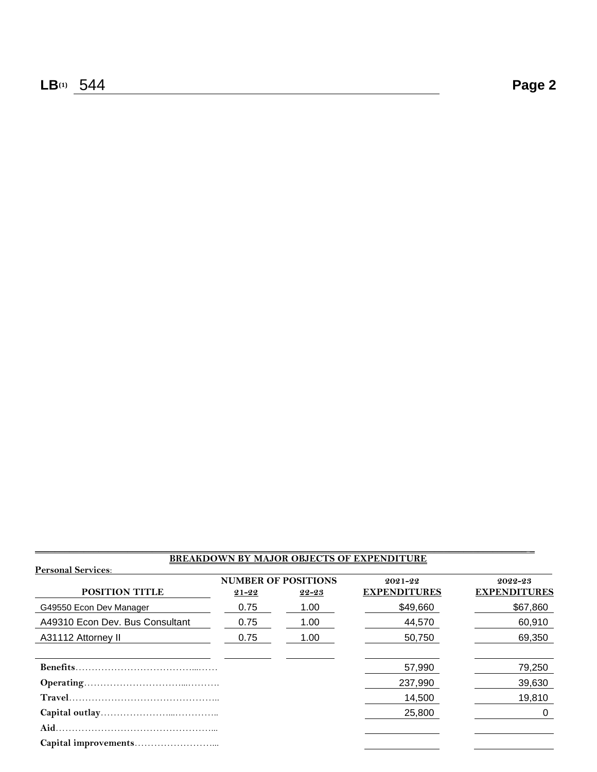### **BREAKDOWN BY MAJOR OBJECTS OF EXPENDITURE**

 $\mathcal{L}_\mathcal{L} = \{ \mathcal{L}_\mathcal{L} = \{ \mathcal{L}_\mathcal{L} = \{ \mathcal{L}_\mathcal{L} = \{ \mathcal{L}_\mathcal{L} = \{ \mathcal{L}_\mathcal{L} = \{ \mathcal{L}_\mathcal{L} = \{ \mathcal{L}_\mathcal{L} = \{ \mathcal{L}_\mathcal{L} = \{ \mathcal{L}_\mathcal{L} = \{ \mathcal{L}_\mathcal{L} = \{ \mathcal{L}_\mathcal{L} = \{ \mathcal{L}_\mathcal{L} = \{ \mathcal{L}_\mathcal{L} = \{ \mathcal{L}_\mathcal{$ 

| <b>Personal Services:</b>       |           |                                         | <u>BREAKDOWN BY MAJOR OBJECTS OF EXPENDITURE</u> |                                |
|---------------------------------|-----------|-----------------------------------------|--------------------------------------------------|--------------------------------|
| POSITION TITLE                  | $21 - 22$ | <b>NUMBER OF POSITIONS</b><br>$22 - 23$ | 2021-22<br><b>EXPENDITURES</b>                   | 2022-23<br><b>EXPENDITURES</b> |
| G49550 Econ Dev Manager         | 0.75      | 1.00                                    | \$49,660                                         | \$67,860                       |
| A49310 Econ Dev. Bus Consultant | 0.75      | 1.00                                    | 44,570                                           | 60,910                         |
| A31112 Attorney II              | 0.75      | 1.00                                    | 50,750                                           | 69,350                         |
|                                 |           |                                         |                                                  |                                |
|                                 |           |                                         | 57,990                                           | 79,250                         |
|                                 |           |                                         | 237,990                                          | 39,630                         |
|                                 |           |                                         | 14,500                                           | 19,810                         |
|                                 |           |                                         | 25,800                                           | 0                              |
|                                 |           |                                         |                                                  |                                |
|                                 |           |                                         |                                                  |                                |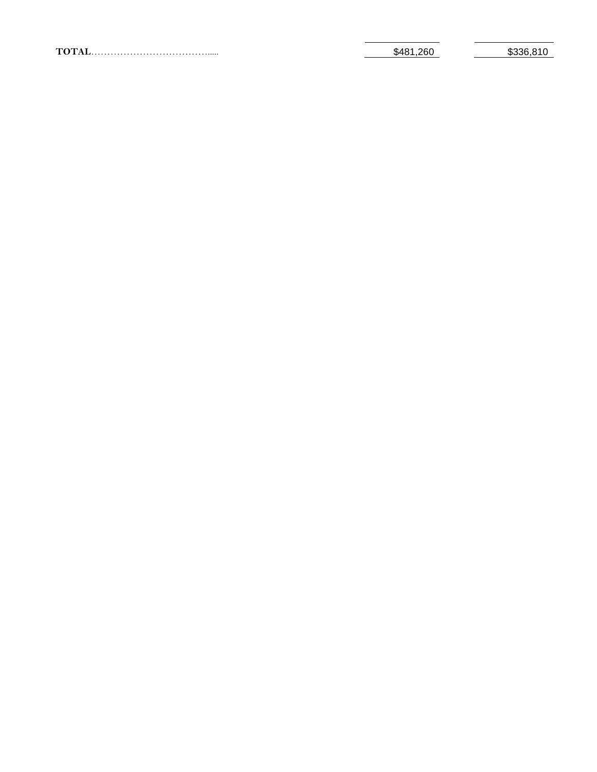| 260<br>\$481 | ຕລລລ<br>ົດ ^<br>. കാാറ.പ |
|--------------|--------------------------|
|              |                          |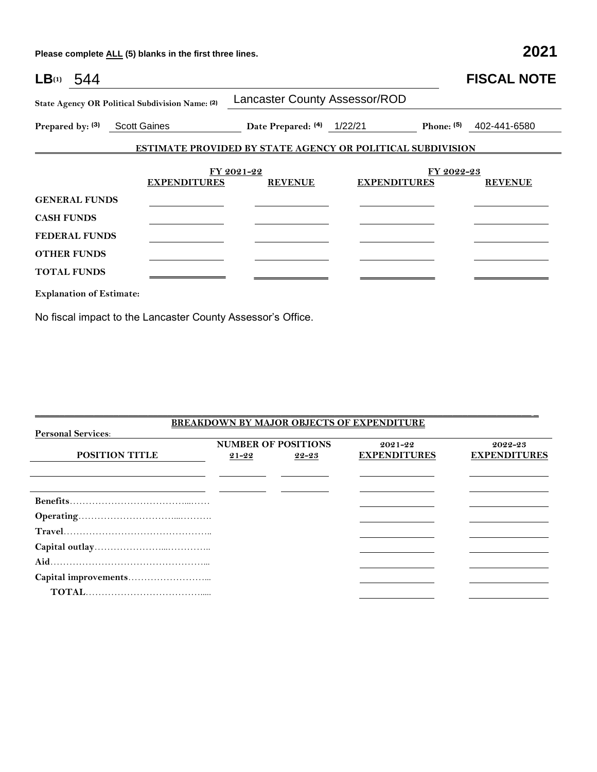**Please complete ALL (5) blanks in the first three lines. 2021**

| LB <sub>(1)</sub> 544           |                                                 |                                                                   |                     |            | <b>FISCAL NOTE</b>        |
|---------------------------------|-------------------------------------------------|-------------------------------------------------------------------|---------------------|------------|---------------------------|
|                                 | State Agency OR Political Subdivision Name: (2) | <b>Lancaster County Assessor/ROD</b>                              |                     |            |                           |
| Prepared by: (3) Scott Gaines   |                                                 | Date Prepared: (4) 1/22/21                                        |                     |            | Phone: $(5)$ 402-441-6580 |
|                                 |                                                 | <b>ESTIMATE PROVIDED BY STATE AGENCY OR POLITICAL SUBDIVISION</b> |                     |            |                           |
|                                 |                                                 | FY 2021-22                                                        |                     | FY 2022-23 |                           |
|                                 | <b>EXPENDITURES</b>                             | <b>REVENUE</b>                                                    | <b>EXPENDITURES</b> |            | <b>REVENUE</b>            |
| <b>GENERAL FUNDS</b>            |                                                 |                                                                   |                     |            |                           |
| <b>CASH FUNDS</b>               |                                                 |                                                                   |                     |            |                           |
| <b>FEDERAL FUNDS</b>            |                                                 |                                                                   |                     |            |                           |
| <b>OTHER FUNDS</b>              |                                                 |                                                                   |                     |            |                           |
| <b>TOTAL FUNDS</b>              |                                                 |                                                                   |                     |            |                           |
| <b>Explanation of Estimate:</b> |                                                 |                                                                   |                     |            |                           |

No fiscal impact to the Lancaster County Assessor's Office.

| <b>BREAKDOWN BY MAJOR OBJECTS OF EXPENDITURE</b> |           |                            |                     |                     |  |  |
|--------------------------------------------------|-----------|----------------------------|---------------------|---------------------|--|--|
| <b>Personal Services:</b>                        |           |                            |                     |                     |  |  |
|                                                  |           | <b>NUMBER OF POSITIONS</b> | $2021 - 22$         | 2022-23             |  |  |
| <b>POSITION TITLE</b>                            | $21 - 22$ | 22-23                      | <b>EXPENDITURES</b> | <b>EXPENDITURES</b> |  |  |
|                                                  |           |                            |                     |                     |  |  |
|                                                  |           |                            |                     |                     |  |  |
|                                                  |           |                            |                     |                     |  |  |
|                                                  |           |                            |                     |                     |  |  |
|                                                  |           |                            |                     |                     |  |  |
|                                                  |           |                            |                     |                     |  |  |
|                                                  |           |                            |                     |                     |  |  |
|                                                  |           |                            |                     |                     |  |  |
|                                                  |           |                            |                     |                     |  |  |
|                                                  |           |                            |                     |                     |  |  |